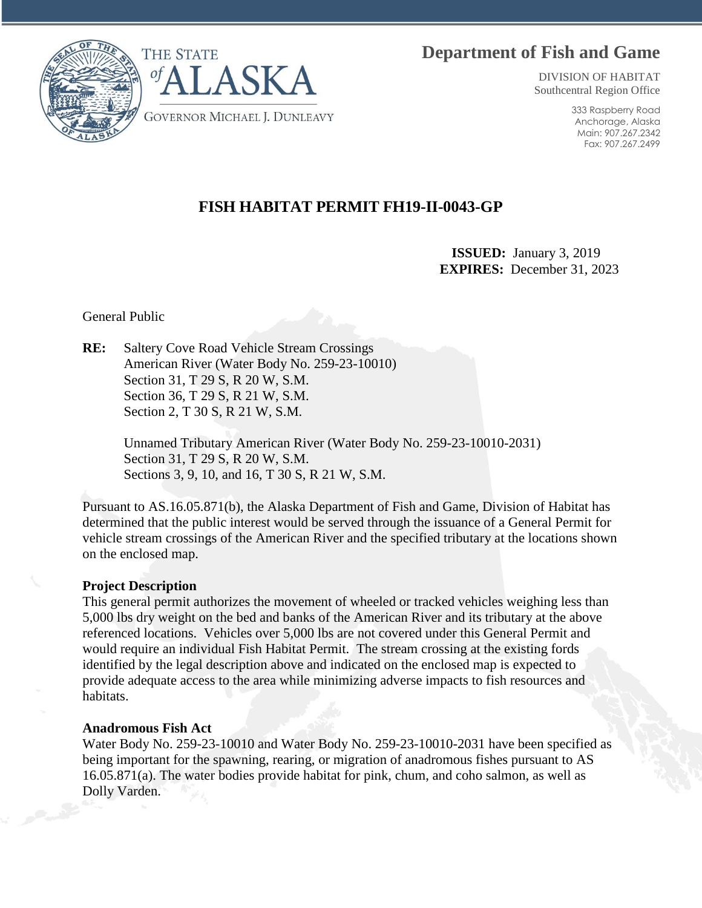# **Department of Fish and Game**



DIVISION OF HABITAT Southcentral Region Office

> 333 Raspberry Road Anchorage, Alaska Main: 907.267.2342 Fax: 907.267.2499

## **FISH HABITAT PERMIT FH19-II-0043-GP**

 **ISSUED:** January 3, 2019 **EXPIRES:** December 31, 2023

General Public

**RE:** Saltery Cove Road Vehicle Stream Crossings American River (Water Body No. 259-23-10010) Section 31, T 29 S, R 20 W, S.M. Section 36, T 29 S, R 21 W, S.M. Section 2, T 30 S, R 21 W, S.M.

> Unnamed Tributary American River (Water Body No. 259-23-10010-2031) Section 31, T 29 S, R 20 W, S.M. Sections 3, 9, 10, and 16, T 30 S, R 21 W, S.M.

Pursuant to AS.16.05.871(b), the Alaska Department of Fish and Game, Division of Habitat has determined that the public interest would be served through the issuance of a General Permit for vehicle stream crossings of the American River and the specified tributary at the locations shown on the enclosed map.

### **Project Description**

This general permit authorizes the movement of wheeled or tracked vehicles weighing less than 5,000 lbs dry weight on the bed and banks of the American River and its tributary at the above referenced locations. Vehicles over 5,000 lbs are not covered under this General Permit and would require an individual Fish Habitat Permit. The stream crossing at the existing fords identified by the legal description above and indicated on the enclosed map is expected to provide adequate access to the area while minimizing adverse impacts to fish resources and habitats.

#### **Anadromous Fish Act**

Water Body No. 259-23-10010 and Water Body No. 259-23-10010-2031 have been specified as being important for the spawning, rearing, or migration of anadromous fishes pursuant to AS 16.05.871(a). The water bodies provide habitat for pink, chum, and coho salmon, as well as Dolly Varden.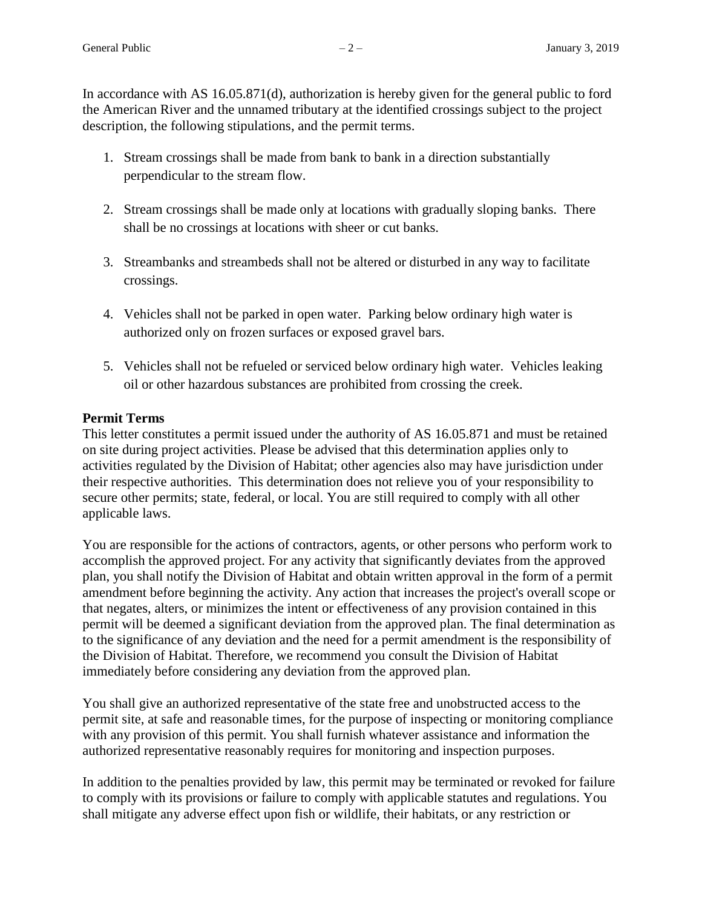In accordance with AS 16.05.871(d), authorization is hereby given for the general public to ford the American River and the unnamed tributary at the identified crossings subject to the project description, the following stipulations, and the permit terms.

- 1. Stream crossings shall be made from bank to bank in a direction substantially perpendicular to the stream flow.
- 2. Stream crossings shall be made only at locations with gradually sloping banks. There shall be no crossings at locations with sheer or cut banks.
- 3. Streambanks and streambeds shall not be altered or disturbed in any way to facilitate crossings.
- 4. Vehicles shall not be parked in open water. Parking below ordinary high water is authorized only on frozen surfaces or exposed gravel bars.
- 5. Vehicles shall not be refueled or serviced below ordinary high water. Vehicles leaking oil or other hazardous substances are prohibited from crossing the creek.

### **Permit Terms**

This letter constitutes a permit issued under the authority of AS 16.05.871 and must be retained on site during project activities. Please be advised that this determination applies only to activities regulated by the Division of Habitat; other agencies also may have jurisdiction under their respective authorities. This determination does not relieve you of your responsibility to secure other permits; state, federal, or local. You are still required to comply with all other applicable laws.

You are responsible for the actions of contractors, agents, or other persons who perform work to accomplish the approved project. For any activity that significantly deviates from the approved plan, you shall notify the Division of Habitat and obtain written approval in the form of a permit amendment before beginning the activity. Any action that increases the project's overall scope or that negates, alters, or minimizes the intent or effectiveness of any provision contained in this permit will be deemed a significant deviation from the approved plan. The final determination as to the significance of any deviation and the need for a permit amendment is the responsibility of the Division of Habitat. Therefore, we recommend you consult the Division of Habitat immediately before considering any deviation from the approved plan.

You shall give an authorized representative of the state free and unobstructed access to the permit site, at safe and reasonable times, for the purpose of inspecting or monitoring compliance with any provision of this permit. You shall furnish whatever assistance and information the authorized representative reasonably requires for monitoring and inspection purposes.

In addition to the penalties provided by law, this permit may be terminated or revoked for failure to comply with its provisions or failure to comply with applicable statutes and regulations. You shall mitigate any adverse effect upon fish or wildlife, their habitats, or any restriction or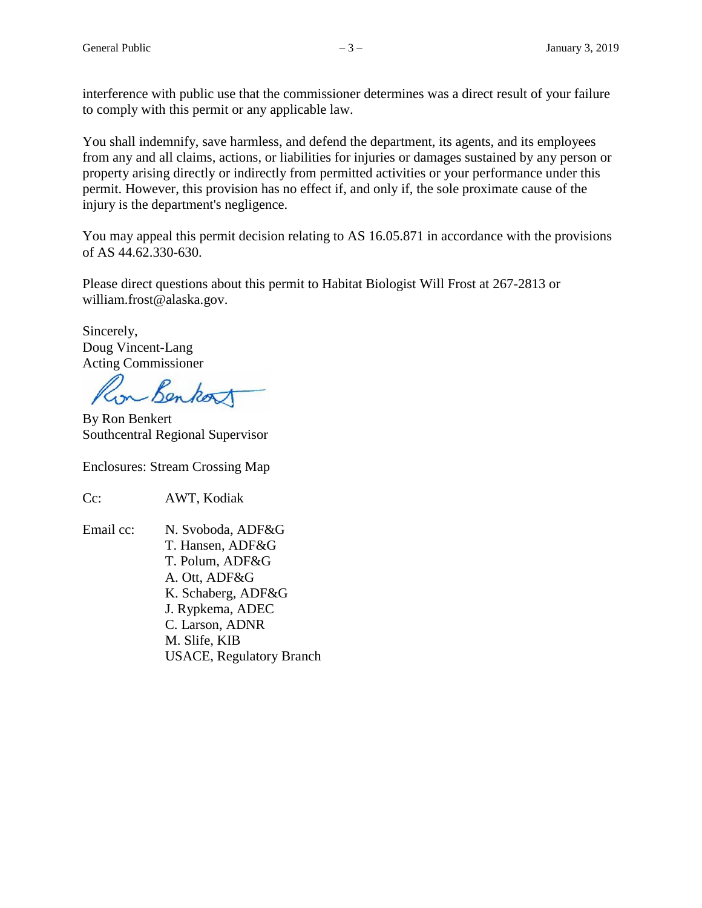interference with public use that the commissioner determines was a direct result of your failure to comply with this permit or any applicable law.

You shall indemnify, save harmless, and defend the department, its agents, and its employees from any and all claims, actions, or liabilities for injuries or damages sustained by any person or property arising directly or indirectly from permitted activities or your performance under this permit. However, this provision has no effect if, and only if, the sole proximate cause of the injury is the department's negligence.

You may appeal this permit decision relating to AS 16.05.871 in accordance with the provisions of AS 44.62.330-630.

Please direct questions about this permit to Habitat Biologist Will Frost at 267-2813 or william.frost@alaska.gov.

Sincerely, Doug Vincent-Lang Acting Commissioner

Benkor

By Ron Benkert Southcentral Regional Supervisor

Enclosures: Stream Crossing Map

Cc: AWT, Kodiak

Email cc: N. Svoboda, ADF&G T. Hansen, ADF&G T. Polum, ADF&G A. Ott, ADF&G K. Schaberg, ADF&G J. Rypkema, ADEC C. Larson, ADNR M. Slife, KIB USACE, Regulatory Branch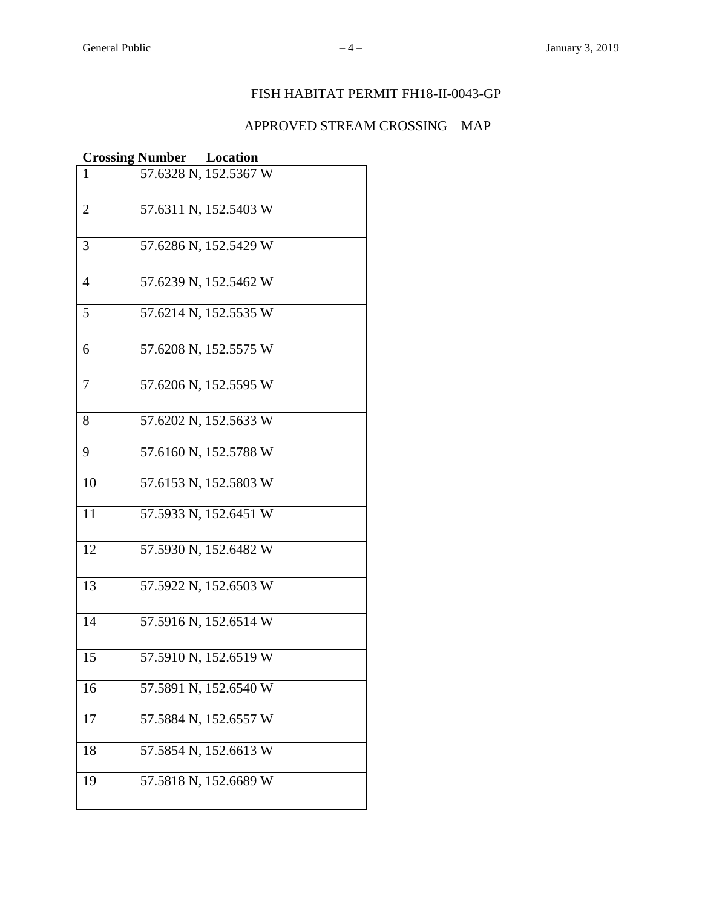### FISH HABITAT PERMIT FH18-II-0043-GP

# APPROVED STREAM CROSSING – MAP

|                | <b>Crossing Number Location</b> |                       |
|----------------|---------------------------------|-----------------------|
|                |                                 | 57.6328 N, 152.5367 W |
| $\overline{2}$ |                                 | 57.6311 N, 152.5403 W |
| 3              |                                 | 57.6286 N, 152.5429 W |
| $\overline{4}$ |                                 | 57.6239 N, 152.5462 W |
| 5              |                                 | 57.6214 N, 152.5535 W |
| 6              |                                 | 57.6208 N, 152.5575 W |
| 7              |                                 | 57.6206 N, 152.5595 W |
| 8              |                                 | 57.6202 N, 152.5633 W |
| 9              |                                 | 57.6160 N, 152.5788 W |
| 10             |                                 | 57.6153 N, 152.5803 W |
| 11             |                                 | 57.5933 N, 152.6451 W |
| 12             |                                 | 57.5930 N, 152.6482 W |
| 13             |                                 | 57.5922 N, 152.6503 W |
| 14             |                                 | 57.5916 N, 152.6514 W |
| 15             |                                 | 57.5910 N, 152.6519 W |
| 16             |                                 | 57.5891 N, 152.6540 W |
| 17             |                                 | 57.5884 N, 152.6557 W |
| 18             |                                 | 57.5854 N, 152.6613 W |
| 19             |                                 | 57.5818 N, 152.6689 W |